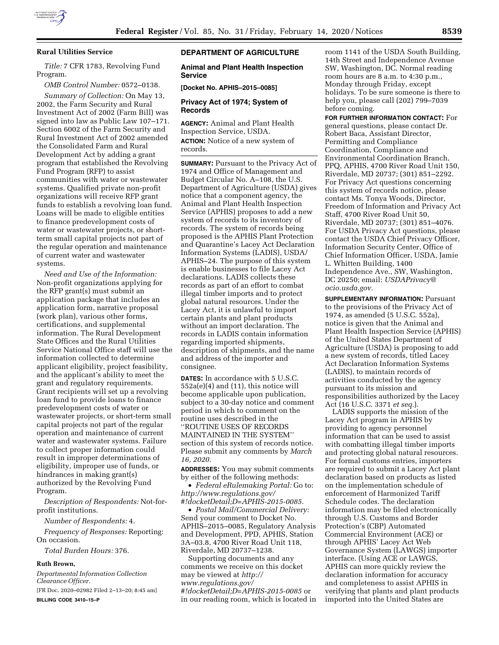

## **Rural Utilities Service**

*Title:* 7 CFR 1783, Revolving Fund Program.

*OMB Control Number:* 0572–0138.

*Summary of Collection:* On May 13, 2002, the Farm Security and Rural Investment Act of 2002 (Farm Bill) was signed into law as Public Law 107–171. Section 6002 of the Farm Security and Rural Investment Act of 2002 amended the Consolidated Farm and Rural Development Act by adding a grant program that established the Revolving Fund Program (RFP) to assist communities with water or wastewater systems. Qualified private non-profit organizations will receive RFP grant funds to establish a revolving loan fund. Loans will be made to eligible entities to finance predevelopment costs of water or wastewater projects, or shortterm small capital projects not part of the regular operation and maintenance of current water and wastewater systems.

*Need and Use of the Information:*  Non-profit organizations applying for the RFP grant(s) must submit an application package that includes an application form, narrative proposal (work plan), various other forms, certifications, and supplemental information. The Rural Development State Offices and the Rural Utilities Service National Office staff will use the information collected to determine applicant eligibility, project feasibility, and the applicant's ability to meet the grant and regulatory requirements. Grant recipients will set up a revolving loan fund to provide loans to finance predevelopment costs of water or wastewater projects, or short-term small capital projects not part of the regular operation and maintenance of current water and wastewater systems. Failure to collect proper information could result in improper determinations of eligibility, improper use of funds, or hindrances in making grant(s) authorized by the Revolving Fund Program.

*Description of Respondents:* Not-forprofit institutions.

*Number of Respondents:* 4.

*Frequency of Responses:* Reporting: On occasion.

*Total Burden Hours:* 376.

#### **Ruth Brown,**

*Departmental Information Collection Clearance Officer.* 

[FR Doc. 2020–02982 Filed 2–13–20; 8:45 am] **BILLING CODE 3410–15–P** 

# **DEPARTMENT OF AGRICULTURE**

**Animal and Plant Health Inspection Service** 

**[Docket No. APHIS–2015–0085]** 

# **Privacy Act of 1974; System of Records**

**AGENCY:** Animal and Plant Health Inspection Service, USDA. **ACTION:** Notice of a new system of records.

**SUMMARY:** Pursuant to the Privacy Act of 1974 and Office of Management and Budget Circular No. A–108, the U.S. Department of Agriculture (USDA) gives notice that a component agency, the Animal and Plant Health Inspection Service (APHIS) proposes to add a new system of records to its inventory of records. The system of records being proposed is the APHIS Plant Protection and Quarantine's Lacey Act Declaration Information Systems (LADIS), USDA/ APHIS–24. The purpose of this system is enable businesses to file Lacey Act declarations. LADIS collects these records as part of an effort to combat illegal timber imports and to protect global natural resources. Under the Lacey Act, it is unlawful to import certain plants and plant products without an import declaration. The records in LADIS contain information regarding imported shipments, description of shipments, and the name and address of the importer and consignee.

**DATES:** In accordance with 5 U.S.C. 552a(e)(4) and (11), this notice will become applicable upon publication, subject to a 30-day notice and comment period in which to comment on the routine uses described in the ''ROUTINE USES OF RECORDS MAINTAINED IN THE SYSTEM'' section of this system of records notice. Please submit any comments by *March 16, 2020.* 

**ADDRESSES:** You may submit comments by either of the following methods:

• *Federal eRulemaking Portal:* Go to: *[http://www.regulations.gov/](http://www.regulations.gov/#!docketDetail;D=APHIS-2015-0085)  [#!docketDetail;D=APHIS-2015-0085.](http://www.regulations.gov/#!docketDetail;D=APHIS-2015-0085)* 

• *Postal Mail/Commercial Delivery:*  Send your comment to Docket No. APHIS–2015–0085, Regulatory Analysis and Development, PPD, APHIS, Station 3A–03.8, 4700 River Road Unit 118, Riverdale, MD 20737–1238.

Supporting documents and any comments we receive on this docket may be viewed at *[http://](http://www.regulations.gov/#!docketDetail;D=APHIS-2015-0085) [www.regulations.gov/](http://www.regulations.gov/#!docketDetail;D=APHIS-2015-0085) [#!docketDetail;D=APHIS-2015-0085](http://www.regulations.gov/#!docketDetail;D=APHIS-2015-0085)* or in our reading room, which is located in room 1141 of the USDA South Building, 14th Street and Independence Avenue SW, Washington, DC. Normal reading room hours are 8 a.m. to 4:30 p.m., Monday through Friday, except holidays. To be sure someone is there to help you, please call (202) 799–7039 before coming.

**FOR FURTHER INFORMATION CONTACT:** For general questions, please contact Dr. Robert Baca, Assistant Director, Permitting and Compliance Coordination, Compliance and Environmental Coordination Branch, PPQ, APHIS, 4700 River Road Unit 150, Riverdale, MD 20737; (301) 851–2292. For Privacy Act questions concerning this system of records notice, please contact Ms. Tonya Woods, Director, Freedom of Information and Privacy Act Staff, 4700 River Road Unit 50, Riverdale, MD 20737; (301) 851–4076. For USDA Privacy Act questions, please contact the USDA Chief Privacy Officer, Information Security Center, Office of Chief Information Officer, USDA, Jamie L. Whitten Building, 1400 Independence Ave., SW, Washington, DC 20250; email: *[USDAPrivacy@](mailto:USDAPrivacy@ocio.usda.gov) [ocio.usda.gov.](mailto:USDAPrivacy@ocio.usda.gov)* 

**SUPPLEMENTARY INFORMATION:** Pursuant to the provisions of the Privacy Act of 1974, as amended (5 U.S.C. 552a), notice is given that the Animal and Plant Health Inspection Service (APHIS) of the United States Department of Agriculture (USDA) is proposing to add a new system of records, titled Lacey Act Declaration Information Systems (LADIS), to maintain records of activities conducted by the agency pursuant to its mission and responsibilities authorized by the Lacey Act (16 U.S.C. 3371 *et seq.*).

LADIS supports the mission of the Lacey Act program in APHIS by providing to agency personnel information that can be used to assist with combatting illegal timber imports and protecting global natural resources. For formal customs entries, importers are required to submit a Lacey Act plant declaration based on products as listed on the implementation schedule of enforcement of Harmonized Tariff Schedule codes. The declaration information may be filed electronically through U.S. Customs and Border Protection's (CBP) Automated Commercial Environment (ACE) or through APHIS' Lacey Act Web Governance System (LAWGS) importer interface. (Using ACE or LAWGS, APHIS can more quickly review the declaration information for accuracy and completeness to assist APHIS in verifying that plants and plant products imported into the United States are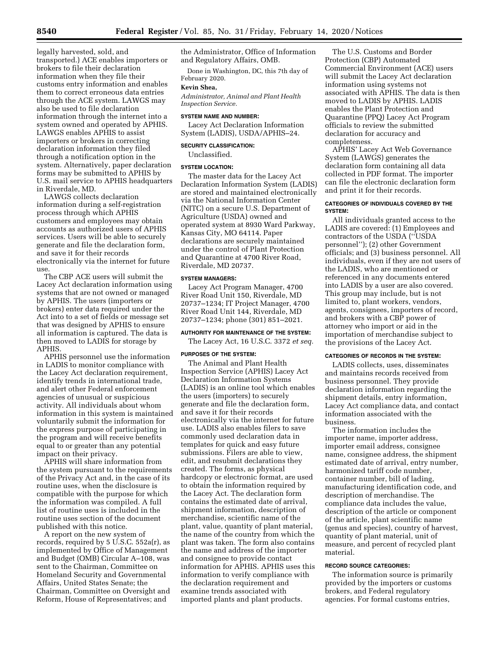legally harvested, sold, and transported.) ACE enables importers or brokers to file their declaration information when they file their customs entry information and enables them to correct erroneous data entries through the ACE system. LAWGS may also be used to file declaration information through the internet into a system owned and operated by APHIS. LAWGS enables APHIS to assist importers or brokers in correcting declaration information they filed through a notification option in the system. Alternatively, paper declaration forms may be submitted to APHIS by U.S. mail service to APHIS headquarters in Riverdale, MD.

LAWGS collects declaration information during a self-registration process through which APHIS customers and employees may obtain accounts as authorized users of APHIS services. Users will be able to securely generate and file the declaration form, and save it for their records electronically via the internet for future use.

The CBP ACE users will submit the Lacey Act declaration information using systems that are not owned or managed by APHIS. The users (importers or brokers) enter data required under the Act into to a set of fields or message set that was designed by APHIS to ensure all information is captured. The data is then moved to LADIS for storage by APHIS.

APHIS personnel use the information in LADIS to monitor compliance with the Lacey Act declaration requirement, identify trends in international trade, and alert other Federal enforcement agencies of unusual or suspicious activity. All individuals about whom information in this system is maintained voluntarily submit the information for the express purpose of participating in the program and will receive benefits equal to or greater than any potential impact on their privacy.

APHIS will share information from the system pursuant to the requirements of the Privacy Act and, in the case of its routine uses, when the disclosure is compatible with the purpose for which the information was compiled. A full list of routine uses is included in the routine uses section of the document published with this notice.

A report on the new system of records, required by 5 U.S.C. 552a(r), as implemented by Office of Management and Budget (OMB) Circular A–108, was sent to the Chairman, Committee on Homeland Security and Governmental Affairs, United States Senate; the Chairman, Committee on Oversight and Reform, House of Representatives; and

the Administrator, Office of Information and Regulatory Affairs, OMB.

Done in Washington, DC, this 7th day of February 2020.

### **Kevin Shea,**

*Administrator, Animal and Plant Health Inspection Service.* 

### **SYSTEM NAME AND NUMBER:**

Lacey Act Declaration Information System (LADIS), USDA/APHIS–24.

#### **SECURITY CLASSIFICATION:**

Unclassified.

#### **SYSTEM LOCATION:**

The master data for the Lacey Act Declaration Information System (LADIS) are stored and maintained electronically via the National Information Center (NITC) on a secure U.S. Department of Agriculture (USDA) owned and operated system at 8930 Ward Parkway, Kansas City, MO 64114. Paper declarations are securely maintained under the control of Plant Protection and Quarantine at 4700 River Road, Riverdale, MD 20737.

#### **SYSTEM MANAGERS:**

Lacey Act Program Manager, 4700 River Road Unit 150, Riverdale, MD 20737–1234; IT Project Manager, 4700 River Road Unit 144, Riverdale, MD 20737–1234; phone (301) 851–2021.

#### **AUTHORITY FOR MAINTENANCE OF THE SYSTEM:**

The Lacey Act, 16 U.S.C. 3372 *et seq.* 

## **PURPOSES OF THE SYSTEM:**

The Animal and Plant Health Inspection Service (APHIS) Lacey Act Declaration Information Systems (LADIS) is an online tool which enables the users (importers) to securely generate and file the declaration form, and save it for their records electronically via the internet for future use. LADIS also enables filers to save commonly used declaration data in templates for quick and easy future submissions. Filers are able to view, edit, and resubmit declarations they created. The forms, as physical hardcopy or electronic format, are used to obtain the information required by the Lacey Act. The declaration form contains the estimated date of arrival, shipment information, description of merchandise, scientific name of the plant, value, quantity of plant material, the name of the country from which the plant was taken. The form also contains the name and address of the importer and consignee to provide contact information for APHIS. APHIS uses this information to verify compliance with the declaration requirement and examine trends associated with imported plants and plant products.

The U.S. Customs and Border Protection (CBP) Automated Commercial Environment (ACE) users will submit the Lacey Act declaration information using systems not associated with APHIS. The data is then moved to LADIS by APHIS. LADIS enables the Plant Protection and Quarantine (PPQ) Lacey Act Program officials to review the submitted declaration for accuracy and completeness.

APHIS' Lacey Act Web Governance System (LAWGS) generates the declaration form containing all data collected in PDF format. The importer can file the electronic declaration form and print it for their records.

### **CATEGORIES OF INDIVIDUALS COVERED BY THE SYSTEM:**

All individuals granted access to the LADIS are covered: (1) Employees and contractors of the USDA (''USDA personnel''); (2) other Government officials; and (3) business personnel. All individuals, even if they are not users of the LADIS, who are mentioned or referenced in any documents entered into LADIS by a user are also covered. This group may include, but is not limited to, plant workers, vendors, agents, consignees, importers of record, and brokers with a CBP power of attorney who import or aid in the importation of merchandise subject to the provisions of the Lacey Act.

#### **CATEGORIES OF RECORDS IN THE SYSTEM:**

LADIS collects, uses, disseminates and maintains records received from business personnel. They provide declaration information regarding the shipment details, entry information, Lacey Act compliance data, and contact information associated with the business.

The information includes the importer name, importer address, importer email address, consignee name, consignee address, the shipment estimated date of arrival, entry number, harmonized tariff code number, container number, bill of lading, manufacturing identification code, and description of merchandise. The compliance data includes the value, description of the article or component of the article, plant scientific name (genus and species), country of harvest, quantity of plant material, unit of measure, and percent of recycled plant material.

### **RECORD SOURCE CATEGORIES:**

The information source is primarily provided by the importers or customs brokers, and Federal regulatory agencies. For formal customs entries,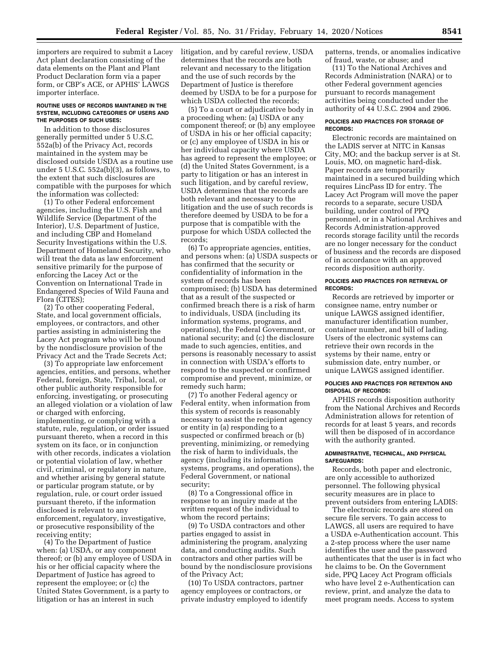importers are required to submit a Lacey Act plant declaration consisting of the data elements on the Plant and Plant Product Declaration form via a paper form, or CBP's ACE, or APHIS' LAWGS importer interface.

### **ROUTINE USES OF RECORDS MAINTAINED IN THE SYSTEM, INCLUDING CATEGORIES OF USERS AND THE PURPOSES OF SUCH USES:**

In addition to those disclosures generally permitted under 5 U.S.C. 552a(b) of the Privacy Act, records maintained in the system may be disclosed outside USDA as a routine use under 5 U.S.C. 552a(b)(3), as follows, to the extent that such disclosures are compatible with the purposes for which the information was collected:

(1) To other Federal enforcement agencies, including the U.S. Fish and Wildlife Service (Department of the Interior), U.S. Department of Justice, and including CBP and Homeland Security Investigations within the U.S. Department of Homeland Security, who will treat the data as law enforcement sensitive primarily for the purpose of enforcing the Lacey Act or the Convention on International Trade in Endangered Species of Wild Fauna and Flora (CITES);

(2) To other cooperating Federal, State, and local government officials, employees, or contractors, and other parties assisting in administering the Lacey Act program who will be bound by the nondisclosure provision of the Privacy Act and the Trade Secrets Act;

(3) To appropriate law enforcement agencies, entities, and persons, whether Federal, foreign, State, Tribal, local, or other public authority responsible for enforcing, investigating, or prosecuting an alleged violation or a violation of law or charged with enforcing, implementing, or complying with a statute, rule, regulation, or order issued pursuant thereto, when a record in this system on its face, or in conjunction with other records, indicates a violation or potential violation of law, whether civil, criminal, or regulatory in nature, and whether arising by general statute or particular program statute, or by regulation, rule, or court order issued pursuant thereto, if the information disclosed is relevant to any enforcement, regulatory, investigative, or prosecutive responsibility of the receiving entity;

(4) To the Department of Justice when: (a) USDA, or any component thereof; or (b) any employee of USDA in his or her official capacity where the Department of Justice has agreed to represent the employee; or (c) the United States Government, is a party to litigation or has an interest in such

litigation, and by careful review, USDA determines that the records are both relevant and necessary to the litigation and the use of such records by the Department of Justice is therefore deemed by USDA to be for a purpose for which USDA collected the records;

(5) To a court or adjudicative body in a proceeding when: (a) USDA or any component thereof; or (b) any employee of USDA in his or her official capacity; or (c) any employee of USDA in his or her individual capacity where USDA has agreed to represent the employee; or (d) the United States Government, is a party to litigation or has an interest in such litigation, and by careful review, USDA determines that the records are both relevant and necessary to the litigation and the use of such records is therefore deemed by USDA to be for a purpose that is compatible with the purpose for which USDA collected the records;

(6) To appropriate agencies, entities, and persons when: (a) USDA suspects or has confirmed that the security or confidentiality of information in the system of records has been compromised; (b) USDA has determined that as a result of the suspected or confirmed breach there is a risk of harm to individuals, USDA (including its information systems, programs, and operations), the Federal Government, or national security; and (c) the disclosure made to such agencies, entities, and persons is reasonably necessary to assist in connection with USDA's efforts to respond to the suspected or confirmed compromise and prevent, minimize, or remedy such harm;

(7) To another Federal agency or Federal entity, when information from this system of records is reasonably necessary to assist the recipient agency or entity in (a) responding to a suspected or confirmed breach or (b) preventing, minimizing, or remedying the risk of harm to individuals, the agency (including its information systems, programs, and operations), the Federal Government, or national security;

(8) To a Congressional office in response to an inquiry made at the written request of the individual to whom the record pertains;

(9) To USDA contractors and other parties engaged to assist in administering the program, analyzing data, and conducting audits. Such contractors and other parties will be bound by the nondisclosure provisions of the Privacy Act;

(10) To USDA contractors, partner agency employees or contractors, or private industry employed to identify patterns, trends, or anomalies indicative of fraud, waste, or abuse; and

(11) To the National Archives and Records Administration (NARA) or to other Federal government agencies pursuant to records management activities being conducted under the authority of 44 U.S.C. 2904 and 2906.

### **POLICIES AND PRACTICES FOR STORAGE OF RECORDS:**

Electronic records are maintained on the LADIS server at NITC in Kansas City, MO; and the backup server is at St. Louis, MO, on magnetic hard-disk. Paper records are temporarily maintained in a secured building which requires LincPass ID for entry. The Lacey Act Program will move the paper records to a separate, secure USDA building, under control of PPQ personnel, or in a National Archives and Records Administration-approved records storage facility until the records are no longer necessary for the conduct of business and the records are disposed of in accordance with an approved records disposition authority.

### **POLICIES AND PRACTICES FOR RETRIEVAL OF RECORDS:**

Records are retrieved by importer or consignee name, entry number or unique LAWGS assigned identifier, manufacturer identification number, container number, and bill of lading. Users of the electronic systems can retrieve their own records in the systems by their name, entry or submission date, entry number, or unique LAWGS assigned identifier.

## **POLICIES AND PRACTICES FOR RETENTION AND DISPOSAL OF RECORDS:**

APHIS records disposition authority from the National Archives and Records Administration allows for retention of records for at least 5 years, and records will then be disposed of in accordance with the authority granted.

### **ADMINISTRATIVE, TECHNICAL, AND PHYSICAL SAFEGUARDS:**

Records, both paper and electronic, are only accessible to authorized personnel. The following physical security measures are in place to prevent outsiders from entering LADIS:

The electronic records are stored on secure file servers. To gain access to LAWGS, all users are required to have a USDA e-Authentication account. This a 2-step process where the user name identifies the user and the password authenticates that the user is in fact who he claims to be. On the Government side, PPQ Lacey Act Program officials who have level 2 e-Authentication can review, print, and analyze the data to meet program needs. Access to system